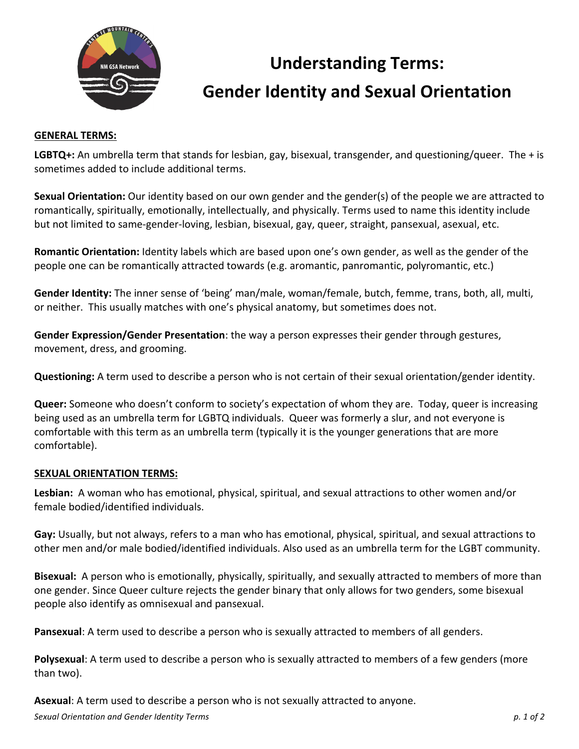

## **Understanding Terms: Gender Identity and Sexual Orientation**

## **GENERAL TERMS:**

LGBTQ+: An umbrella term that stands for lesbian, gay, bisexual, transgender, and questioning/queer. The + is sometimes added to include additional terms.

**Sexual Orientation:** Our identity based on our own gender and the gender(s) of the people we are attracted to romantically, spiritually, emotionally, intellectually, and physically. Terms used to name this identity include but not limited to same-gender-loving, lesbian, bisexual, gay, queer, straight, pansexual, asexual, etc.

**Romantic Orientation:** Identity labels which are based upon one's own gender, as well as the gender of the people one can be romantically attracted towards (e.g. aromantic, panromantic, polyromantic, etc.)

Gender Identity: The inner sense of 'being' man/male, woman/female, butch, femme, trans, both, all, multi, or neither. This usually matches with one's physical anatomy, but sometimes does not.

**Gender Expression/Gender Presentation**: the way a person expresses their gender through gestures, movement, dress, and grooming.

**Questioning:** A term used to describe a person who is not certain of their sexual orientation/gender identity.

**Queer:** Someone who doesn't conform to society's expectation of whom they are. Today, queer is increasing being used as an umbrella term for LGBTQ individuals. Queer was formerly a slur, and not everyone is comfortable with this term as an umbrella term (typically it is the younger generations that are more comfortable).

## **SEXUAL ORIENTATION TERMS:**

**Lesbian:** A woman who has emotional, physical, spiritual, and sexual attractions to other women and/or female bodied/identified individuals.

**Gay:** Usually, but not always, refers to a man who has emotional, physical, spiritual, and sexual attractions to other men and/or male bodied/identified individuals. Also used as an umbrella term for the LGBT community.

**Bisexual:** A person who is emotionally, physically, spiritually, and sexually attracted to members of more than one gender. Since Queer culture rejects the gender binary that only allows for two genders, some bisexual people also identify as omnisexual and pansexual.

**Pansexual:** A term used to describe a person who is sexually attracted to members of all genders.

**Polysexual**: A term used to describe a person who is sexually attracted to members of a few genders (more than two).

**Asexual:** A term used to describe a person who is not sexually attracted to anyone.